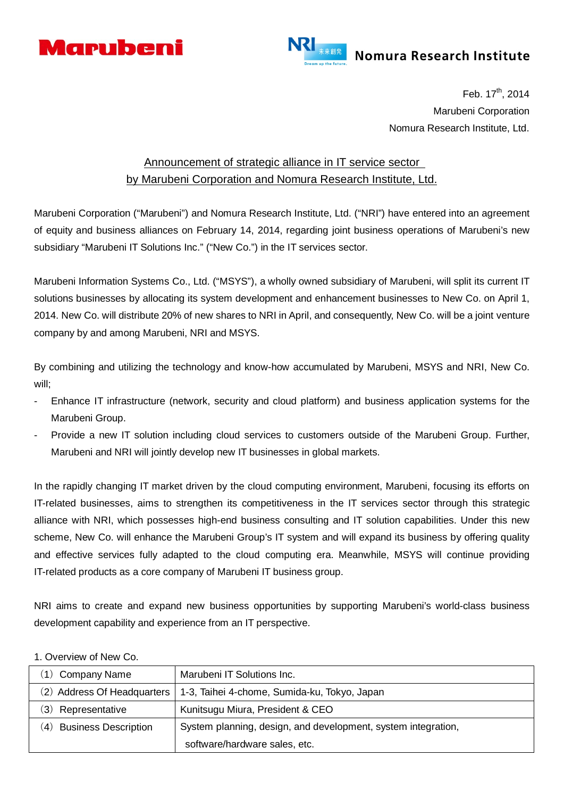



Feb.  $17^{th}$ , 2014 Marubeni Corporation Nomura Research Institute, Ltd.

## Announcement of strategic alliance in IT service sector by Marubeni Corporation and Nomura Research Institute, Ltd.

Marubeni Corporation ("Marubeni") and Nomura Research Institute, Ltd. ("NRI") have entered into an agreement of equity and business alliances on February 14, 2014, regarding joint business operations of Marubeni's new subsidiary "Marubeni IT Solutions Inc." ("New Co.") in the IT services sector.

Marubeni Information Systems Co., Ltd. ("MSYS"), a wholly owned subsidiary of Marubeni, will split its current IT solutions businesses by allocating its system development and enhancement businesses to New Co. on April 1, 2014. New Co. will distribute 20% of new shares to NRI in April, and consequently, New Co. will be a joint venture company by and among Marubeni, NRI and MSYS.

By combining and utilizing the technology and know-how accumulated by Marubeni, MSYS and NRI, New Co. will;

- Enhance IT infrastructure (network, security and cloud platform) and business application systems for the Marubeni Group.
- Provide a new IT solution including cloud services to customers outside of the Marubeni Group. Further, Marubeni and NRI will jointly develop new IT businesses in global markets.

In the rapidly changing IT market driven by the cloud computing environment, Marubeni, focusing its efforts on IT-related businesses, aims to strengthen its competitiveness in the IT services sector through this strategic alliance with NRI, which possesses high-end business consulting and IT solution capabilities. Under this new scheme, New Co. will enhance the Marubeni Group's IT system and will expand its business by offering quality and effective services fully adapted to the cloud computing era. Meanwhile, MSYS will continue providing IT-related products as a core company of Marubeni IT business group.

NRI aims to create and expand new business opportunities by supporting Marubeni's world-class business development capability and experience from an IT perspective.

| Company Name<br>(1)            | Marubeni IT Solutions Inc.                                    |
|--------------------------------|---------------------------------------------------------------|
| (2) Address Of Headquarters    | 1-3, Taihei 4-chome, Sumida-ku, Tokyo, Japan                  |
| $\mathbf{3}$<br>Representative | Kunitsugu Miura, President & CEO                              |
| (4) Business Description       | System planning, design, and development, system integration, |
|                                | software/hardware sales, etc.                                 |

1. Overview of New Co.